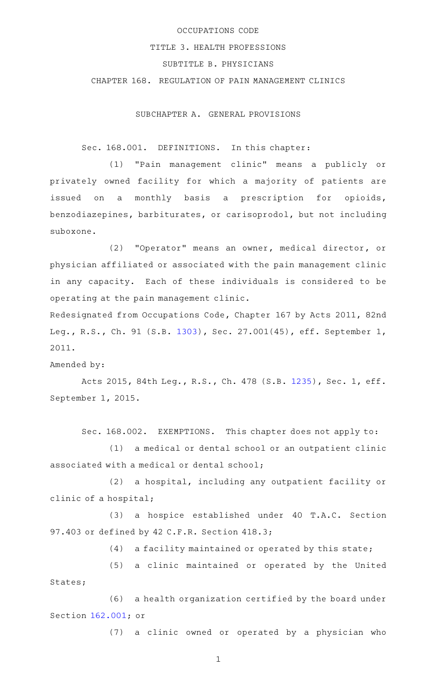## OCCUPATIONS CODE

#### TITLE 3. HEALTH PROFESSIONS

# SUBTITLE B. PHYSICIANS

CHAPTER 168. REGULATION OF PAIN MANAGEMENT CLINICS

SUBCHAPTER A. GENERAL PROVISIONS

Sec. 168.001. DEFINITIONS. In this chapter:

(1) "Pain management clinic" means a publicly or privately owned facility for which a majority of patients are issued on a monthly basis a prescription for opioids, benzodiazepines, barbiturates, or carisoprodol, but not including suboxone.

(2) "Operator" means an owner, medical director, or physician affiliated or associated with the pain management clinic in any capacity. Each of these individuals is considered to be operating at the pain management clinic.

Redesignated from Occupations Code, Chapter 167 by Acts 2011, 82nd Leg., R.S., Ch. 91 (S.B. [1303\)](http://www.legis.state.tx.us/tlodocs/82R/billtext/html/SB01303F.HTM), Sec. 27.001(45), eff. September 1, 2011.

Amended by:

Acts 2015, 84th Leg., R.S., Ch. 478 (S.B. [1235](http://www.legis.state.tx.us/tlodocs/84R/billtext/html/SB01235F.HTM)), Sec. 1, eff. September 1, 2015.

Sec. 168.002. EXEMPTIONS. This chapter does not apply to:

(1) a medical or dental school or an outpatient clinic associated with a medical or dental school;

(2) a hospital, including any outpatient facility or clinic of a hospital;

(3) a hospice established under 40 T.A.C. Section 97.403 or defined by 42 C.F.R. Section 418.3;

 $(4)$  a facility maintained or operated by this state;

(5) a clinic maintained or operated by the United States;

(6) a health organization certified by the board under Section [162.001;](http://www.statutes.legis.state.tx.us/GetStatute.aspx?Code=OC&Value=162.001) or

(7) a clinic owned or operated by a physician who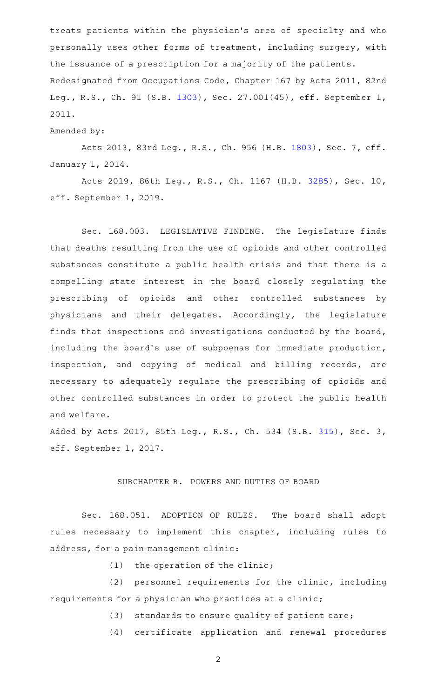treats patients within the physician 's area of specialty and who personally uses other forms of treatment, including surgery, with the issuance of a prescription for a majority of the patients. Redesignated from Occupations Code, Chapter 167 by Acts 2011, 82nd Leg., R.S., Ch. 91 (S.B. [1303\)](http://www.legis.state.tx.us/tlodocs/82R/billtext/html/SB01303F.HTM), Sec. 27.001(45), eff. September 1, 2011.

#### Amended by:

Acts 2013, 83rd Leg., R.S., Ch. 956 (H.B. [1803](http://www.legis.state.tx.us/tlodocs/83R/billtext/html/HB01803F.HTM)), Sec. 7, eff. January 1, 2014.

Acts 2019, 86th Leg., R.S., Ch. 1167 (H.B. [3285](http://www.legis.state.tx.us/tlodocs/86R/billtext/html/HB03285F.HTM)), Sec. 10, eff. September 1, 2019.

Sec. 168.003. LEGISLATIVE FINDING. The legislature finds that deaths resulting from the use of opioids and other controlled substances constitute a public health crisis and that there is a compelling state interest in the board closely regulating the prescribing of opioids and other controlled substances by physicians and their delegates. Accordingly, the legislature finds that inspections and investigations conducted by the board, including the board's use of subpoenas for immediate production, inspection, and copying of medical and billing records, are necessary to adequately regulate the prescribing of opioids and other controlled substances in order to protect the public health and welfare.

Added by Acts 2017, 85th Leg., R.S., Ch. 534 (S.B. [315](http://www.legis.state.tx.us/tlodocs/85R/billtext/html/SB00315F.HTM)), Sec. 3, eff. September 1, 2017.

## SUBCHAPTER B. POWERS AND DUTIES OF BOARD

Sec. 168.051. ADOPTION OF RULES. The board shall adopt rules necessary to implement this chapter, including rules to address, for a pain management clinic:

 $(1)$  the operation of the clinic;

(2) personnel requirements for the clinic, including requirements for a physician who practices at a clinic;

 $(3)$  standards to ensure quality of patient care;

(4) certificate application and renewal procedures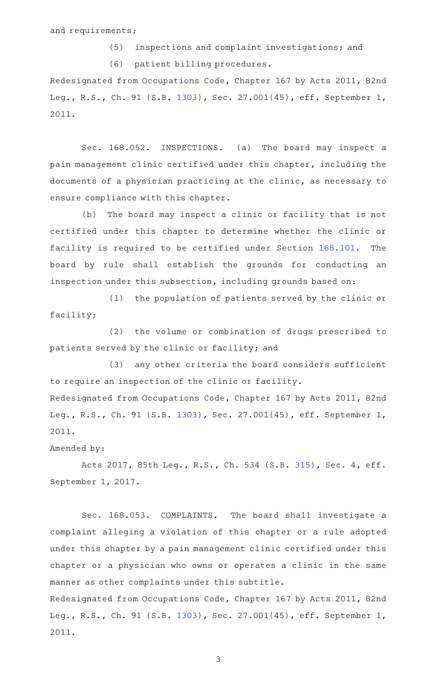and requirements;

(5) inspections and complaint investigations; and (6) patient billing procedures. Redesignated from Occupations Code, Chapter 167 by Acts 2011, 82nd Leg., R.S., Ch. 91 (S.B. [1303\)](http://www.legis.state.tx.us/tlodocs/82R/billtext/html/SB01303F.HTM), Sec. 27.001(45), eff. September 1, 2011.

Sec. 168.052. INSPECTIONS. (a) The board may inspect a pain management clinic certified under this chapter, including the documents of a physician practicing at the clinic, as necessary to ensure compliance with this chapter.

(b) The board may inspect a clinic or facility that is not certified under this chapter to determine whether the clinic or facility is required to be certified under Section [168.101.](http://www.statutes.legis.state.tx.us/GetStatute.aspx?Code=OC&Value=168.101) The board by rule shall establish the grounds for conducting an inspection under this subsection, including grounds based on:

(1) the population of patients served by the clinic or facility;

(2) the volume or combination of drugs prescribed to patients served by the clinic or facility; and

(3) any other criteria the board considers sufficient to require an inspection of the clinic or facility. Redesignated from Occupations Code, Chapter 167 by Acts 2011, 82nd

Leg., R.S., Ch. 91 (S.B. [1303\)](http://www.legis.state.tx.us/tlodocs/82R/billtext/html/SB01303F.HTM), Sec. 27.001(45), eff. September 1, 2011.

## Amended by:

Acts 2017, 85th Leg., R.S., Ch. 534 (S.B. [315](http://www.legis.state.tx.us/tlodocs/85R/billtext/html/SB00315F.HTM)), Sec. 4, eff. September 1, 2017.

Sec. 168.053. COMPLAINTS. The board shall investigate a complaint alleging a violation of this chapter or a rule adopted under this chapter by a pain management clinic certified under this chapter or a physician who owns or operates a clinic in the same manner as other complaints under this subtitle.

Redesignated from Occupations Code, Chapter 167 by Acts 2011, 82nd Leg., R.S., Ch. 91 (S.B. [1303\)](http://www.legis.state.tx.us/tlodocs/82R/billtext/html/SB01303F.HTM), Sec. 27.001(45), eff. September 1, 2011.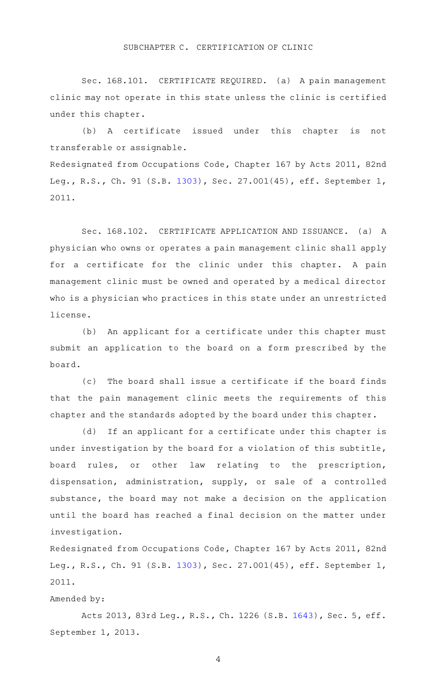#### SUBCHAPTER C. CERTIFICATION OF CLINIC

Sec. 168.101. CERTIFICATE REQUIRED. (a) A pain management clinic may not operate in this state unless the clinic is certified under this chapter.

(b)AAA certificate issued under this chapter is not transferable or assignable.

Redesignated from Occupations Code, Chapter 167 by Acts 2011, 82nd Leg., R.S., Ch. 91 (S.B. [1303\)](http://www.legis.state.tx.us/tlodocs/82R/billtext/html/SB01303F.HTM), Sec. 27.001(45), eff. September 1, 2011.

Sec. 168.102. CERTIFICATE APPLICATION AND ISSUANCE. (a) A physician who owns or operates a pain management clinic shall apply for a certificate for the clinic under this chapter. A pain management clinic must be owned and operated by a medical director who is a physician who practices in this state under an unrestricted license.

(b) An applicant for a certificate under this chapter must submit an application to the board on a form prescribed by the board.

(c) The board shall issue a certificate if the board finds that the pain management clinic meets the requirements of this chapter and the standards adopted by the board under this chapter.

(d) If an applicant for a certificate under this chapter is under investigation by the board for a violation of this subtitle, board rules, or other law relating to the prescription, dispensation, administration, supply, or sale of a controlled substance, the board may not make a decision on the application until the board has reached a final decision on the matter under investigation.

Redesignated from Occupations Code, Chapter 167 by Acts 2011, 82nd Leg., R.S., Ch. 91 (S.B. [1303\)](http://www.legis.state.tx.us/tlodocs/82R/billtext/html/SB01303F.HTM), Sec. 27.001(45), eff. September 1, 2011.

#### Amended by:

Acts 2013, 83rd Leg., R.S., Ch. 1226 (S.B. [1643](http://www.legis.state.tx.us/tlodocs/83R/billtext/html/SB01643F.HTM)), Sec. 5, eff. September 1, 2013.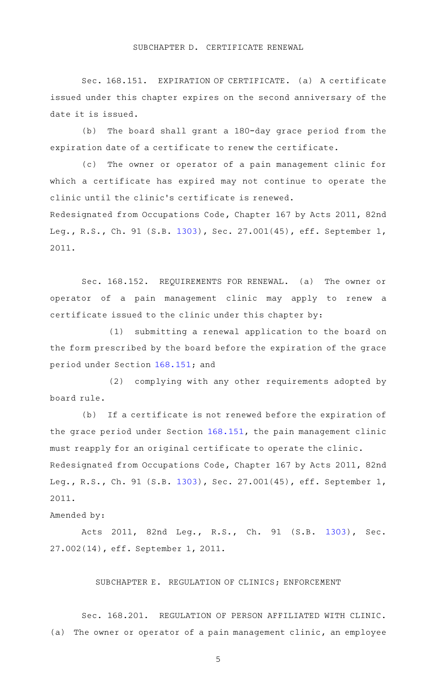Sec. 168.151. EXPIRATION OF CERTIFICATE. (a) A certificate issued under this chapter expires on the second anniversary of the date it is issued.

(b) The board shall grant a 180-day grace period from the expiration date of a certificate to renew the certificate.

(c) The owner or operator of a pain management clinic for which a certificate has expired may not continue to operate the clinic until the clinic 's certificate is renewed.

Redesignated from Occupations Code, Chapter 167 by Acts 2011, 82nd Leg., R.S., Ch. 91 (S.B. [1303\)](http://www.legis.state.tx.us/tlodocs/82R/billtext/html/SB01303F.HTM), Sec. 27.001(45), eff. September 1, 2011.

Sec. 168.152. REQUIREMENTS FOR RENEWAL. (a) The owner or operator of a pain management clinic may apply to renew a certificate issued to the clinic under this chapter by:

(1) submitting a renewal application to the board on the form prescribed by the board before the expiration of the grace period under Section [168.151;](http://www.statutes.legis.state.tx.us/GetStatute.aspx?Code=OC&Value=168.151) and

(2) complying with any other requirements adopted by board rule.

(b) If a certificate is not renewed before the expiration of the grace period under Section [168.151](http://www.statutes.legis.state.tx.us/GetStatute.aspx?Code=OC&Value=168.151), the pain management clinic must reapply for an original certificate to operate the clinic. Redesignated from Occupations Code, Chapter 167 by Acts 2011, 82nd Leg., R.S., Ch. 91 (S.B. [1303\)](http://www.legis.state.tx.us/tlodocs/82R/billtext/html/SB01303F.HTM), Sec. 27.001(45), eff. September 1, 2011.

## Amended by:

Acts 2011, 82nd Leg., R.S., Ch. 91 (S.B. [1303\)](http://www.legis.state.tx.us/tlodocs/82R/billtext/html/SB01303F.HTM), Sec. 27.002(14), eff. September 1, 2011.

## SUBCHAPTER E. REGULATION OF CLINICS; ENFORCEMENT

Sec. 168.201. REGULATION OF PERSON AFFILIATED WITH CLINIC. (a) The owner or operator of a pain management clinic, an employee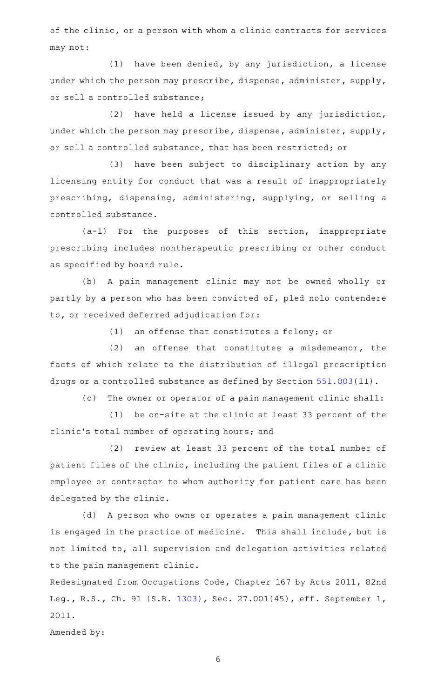of the clinic, or a person with whom a clinic contracts for services may not:

 $(1)$  have been denied, by any jurisdiction, a license under which the person may prescribe, dispense, administer, supply, or sell a controlled substance;

 $(2)$  have held a license issued by any jurisdiction, under which the person may prescribe, dispense, administer, supply, or sell a controlled substance, that has been restricted; or

(3) have been subject to disciplinary action by any licensing entity for conduct that was a result of inappropriately prescribing, dispensing, administering, supplying, or selling a controlled substance.

 $(a-1)$  For the purposes of this section, inappropriate prescribing includes nontherapeutic prescribing or other conduct as specified by board rule.

(b) A pain management clinic may not be owned wholly or partly by a person who has been convicted of, pled nolo contendere to, or received deferred adjudication for:

 $(1)$  an offense that constitutes a felony; or

 $(2)$  an offense that constitutes a misdemeanor, the facts of which relate to the distribution of illegal prescription drugs or a controlled substance as defined by Section [551.003\(](http://www.statutes.legis.state.tx.us/GetStatute.aspx?Code=OC&Value=551.003)11).

(c) The owner or operator of a pain management clinic shall:

 $(1)$  be on-site at the clinic at least 33 percent of the clinic 's total number of operating hours; and

(2) review at least 33 percent of the total number of patient files of the clinic, including the patient files of a clinic employee or contractor to whom authority for patient care has been delegated by the clinic.

(d) A person who owns or operates a pain management clinic is engaged in the practice of medicine. This shall include, but is not limited to, all supervision and delegation activities related to the pain management clinic.

Redesignated from Occupations Code, Chapter 167 by Acts 2011, 82nd Leg., R.S., Ch. 91 (S.B. [1303\)](http://www.legis.state.tx.us/tlodocs/82R/billtext/html/SB01303F.HTM), Sec. 27.001(45), eff. September 1, 2011.

Amended by: